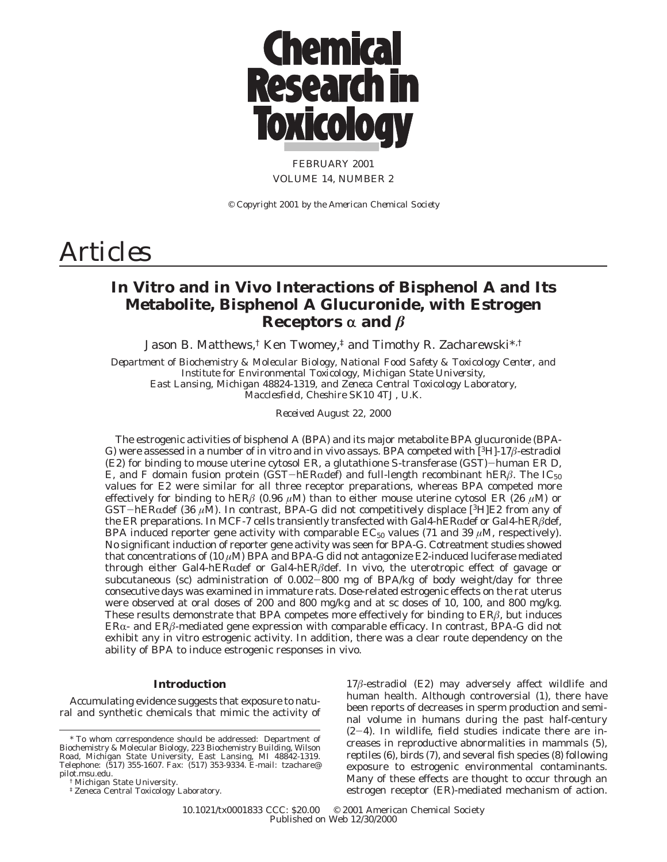

FEBRUARY 2001 VOLUME 14, NUMBER 2

*© Copyright 2001 by the American Chemical Society*

# *Articles*

# **In Vitro and in Vivo Interactions of Bisphenol A and Its Metabolite, Bisphenol A Glucuronide, with Estrogen Receptors**  $\alpha$  **and**  $\beta$

Jason B. Matthews,<sup>†</sup> Ken Twomey,<sup>‡</sup> and Timothy R. Zacharewski<sup>\*,†</sup>

*Department of Biochemistry & Molecular Biology, National Food Safety & Toxicology Center, and Institute for Environmental Toxicology, Michigan State University, East Lansing, Michigan 48824-1319, and Zeneca Central Toxicology Laboratory, Macclesfield, Cheshire SK10 4TJ, U.K.*

*Received August 22, 2000*

The estrogenic activities of bisphenol A (BPA) and its major metabolite BPA glucuronide (BPA-G) were assessed in a number of in vitro and in vivo assays. BPA competed with [3H]-17*â*-estradiol (E2) for binding to mouse uterine cytosol ER, a glutathione *<sup>S</sup>*-transferase (GST)-human ER D, E, and F domain fusion protein (GST-hER $\alpha$ def) and full-length recombinant hER $\beta$ . The IC<sub>50</sub> values for E2 were similar for all three receptor preparations, whereas BPA competed more effectively for binding to hER $\beta$  (0.96  $\mu$ M) than to either mouse uterine cytosol ER (26  $\mu$ M) or GST-hERRdef (36 *<sup>µ</sup>*M). In contrast, BPA-G did not competitively displace [3H]E2 from any of the ER preparations. In MCF-7 cells transiently transfected with Gal4-hERRdef or Gal4-hER*â*def, BPA induced reporter gene activity with comparable  $EC_{50}$  values (71 and 39  $\mu$ M, respectively). No significant induction of reporter gene activity was seen for BPA-G. Cotreatment studies showed that concentrations of (10 *µ*M) BPA and BPA-G did not antagonize E2-induced luciferase mediated through either Gal4-hERRdef or Gal4-hER*â*def. In vivo, the uterotropic effect of gavage or subcutaneous (sc) administration of 0.002-800 mg of BPA/kg of body weight/day for three consecutive days was examined in immature rats. Dose-related estrogenic effects on the rat uterus were observed at oral doses of 200 and 800 mg/kg and at sc doses of 10, 100, and 800 mg/kg. These results demonstrate that BPA competes more effectively for binding to ER*â*, but induces  $ER\alpha$ - and  $ER\beta$ -mediated gene expression with comparable efficacy. In contrast, BPA-G did not exhibit any in vitro estrogenic activity. In addition, there was a clear route dependency on the ability of BPA to induce estrogenic responses in vivo.

## **Introduction**

Accumulating evidence suggests that exposure to natural and synthetic chemicals that mimic the activity of

17*â*-estradiol (E2) may adversely affect wildlife and human health. Although controversial (*1*), there have been reports of decreases in sperm production and seminal volume in humans during the past half-century (*2*-*4*). In wildlife, field studies indicate there are increases in reproductive abnormalities in mammals (*5*), reptiles (*6*), birds (*7*), and several fish species (*8*) following exposure to estrogenic environmental contaminants. Many of these effects are thought to occur through an estrogen receptor (ER)-mediated mechanism of action.

10.1021/tx0001833 CCC: \$20.00 © 2001 American Chemical Society Published on Web 12/30/2000

<sup>\*</sup> To whom correspondence should be addressed: Department of Biochemistry & Molecular Biology, 223 Biochemistry Building, Wilson Road, Michigan State University, East Lansing, MI 48842-1319. Telephone: (517) 355-1607. Fax: (517) 353-9334. E-mail: tzachare@ pilot.msu.edu.

<sup>†</sup> Michigan State University.

<sup>‡</sup> Zeneca Central Toxicology Laboratory.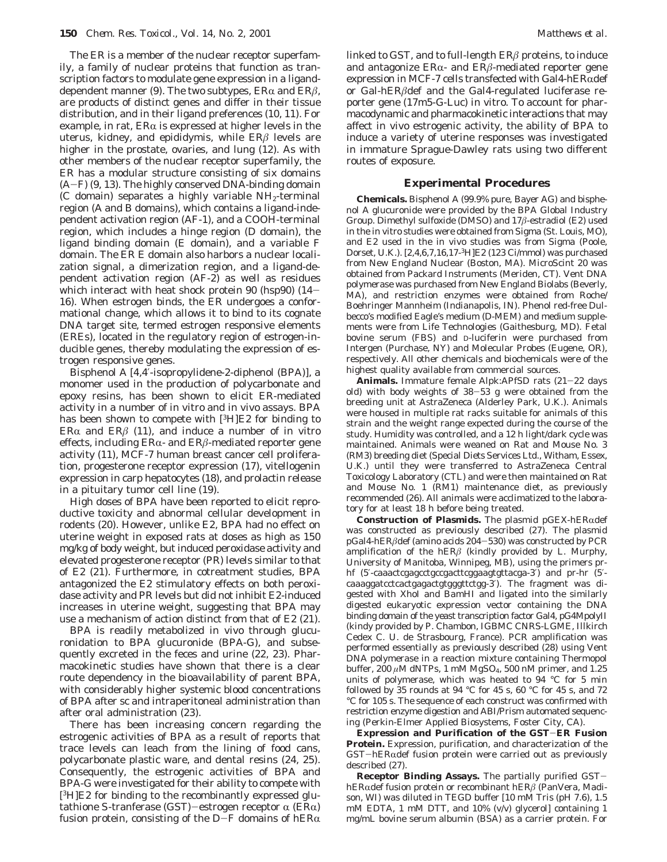The ER is a member of the nuclear receptor superfamily, a family of nuclear proteins that function as transcription factors to modulate gene expression in a liganddependent manner (9). The two subtypes,  $ER\alpha$  and  $ER\beta$ , are products of distinct genes and differ in their tissue distribution, and in their ligand preferences (*10*, *11*). For example, in rat,  $ER\alpha$  is expressed at higher levels in the uterus, kidney, and epididymis, while ER*â* levels are higher in the prostate, ovaries, and lung (*12*). As with other members of the nuclear receptor superfamily, the ER has a modular structure consisting of six domains (A-F) (*9*, *<sup>13</sup>*). The highly conserved DNA-binding domain (C domain) separates a highly variable  $NH<sub>2</sub>$ -terminal region (A and B domains), which contains a ligand-independent activation region (AF-1), and a COOH-terminal region, which includes a hinge region (D domain), the ligand binding domain (E domain), and a variable F domain. The ER E domain also harbors a nuclear localization signal, a dimerization region, and a ligand-dependent activation region (AF-2) as well as residues which interact with heat shock protein 90 (hsp90) (*14*- 16). When estrogen binds, the ER undergoes a conformational change, which allows it to bind to its cognate DNA target site, termed estrogen responsive elements (EREs), located in the regulatory region of estrogen-inducible genes, thereby modulating the expression of estrogen responsive genes.

Bisphenol A [4,4′-isopropylidene-2-diphenol (BPA)], a monomer used in the production of polycarbonate and epoxy resins, has been shown to elicit ER-mediated activity in a number of in vitro and in vivo assays. BPA has been shown to compete with [3H]E2 for binding to ER $\alpha$  and ER $\beta$  (11), and induce a number of in vitro effects, including  $ER\alpha$ - and  $ER\beta$ -mediated reporter gene activity (*11*), MCF-7 human breast cancer cell proliferation, progesterone receptor expression (*17*), vitellogenin expression in carp hepatocytes (*18*), and prolactin release in a pituitary tumor cell line (*19*).

High doses of BPA have been reported to elicit reproductive toxicity and abnormal cellular development in rodents (*20*). However, unlike E2, BPA had no effect on uterine weight in exposed rats at doses as high as 150 mg/kg of body weight, but induced peroxidase activity and elevated progesterone receptor (PR) levels similar to that of E2 (*21*). Furthermore, in cotreatment studies, BPA antagonized the E2 stimulatory effects on both peroxidase activity and PR levels but did not inhibit E2-induced increases in uterine weight, suggesting that BPA may use a mechanism of action distinct from that of E2 (*21*).

BPA is readily metabolized in vivo through glucuronidation to BPA glucuronide (BPA-G), and subsequently excreted in the feces and urine (*22*, *23*). Pharmacokinetic studies have shown that there is a clear route dependency in the bioavailability of parent BPA, with considerably higher systemic blood concentrations of BPA after sc and intraperitoneal administration than after oral administration (*23*).

There has been increasing concern regarding the estrogenic activities of BPA as a result of reports that trace levels can leach from the lining of food cans, polycarbonate plastic ware, and dental resins (*24*, *25*). Consequently, the estrogenic activities of BPA and BPA-G were investigated for their ability to compete with [3H]E2 for binding to the recombinantly expressed glutathione *S*-tranferase (GST)-estrogen receptor  $\alpha$  (ER $\alpha$ ) fusion protein, consisting of the D-F domains of hER $\alpha$  linked to GST, and to full-length ER*â* proteins, to induce and antagonize  $ER\alpha$ - and  $ER\beta$ -mediated reporter gene expression in MCF-7 cells transfected with Gal4-hER $\alpha$ def or Gal-hER*â*def and the Gal4-regulated luciferase reporter gene (17m5-G-Luc) in vitro. To account for pharmacodynamic and pharmacokinetic interactions that may affect in vivo estrogenic activity, the ability of BPA to induce a variety of uterine responses was investigated in immature Sprague-Dawley rats using two different routes of exposure.

#### **Experimental Procedures**

**Chemicals.** Bisphenol A (99.9% pure, Bayer AG) and bisphenol A glucuronide were provided by the BPA Global Industry Group. Dimethyl sulfoxide (DMSO) and 17*â*-estradiol (E2) used in the in vitro studies were obtained from Sigma (St. Louis, MO), and E2 used in the in vivo studies was from Sigma (Poole, Dorset, U.K.). [2,4,6,7,16,17-3H]E2 (123 Ci/mmol) was purchased from New England Nuclear (Boston, MA). MicroScint 20 was obtained from Packard Instruments (Meriden, CT). Vent DNA polymerase was purchased from New England Biolabs (Beverly, MA), and restriction enzymes were obtained from Roche/ Boehringer Mannheim (Indianapolis, IN). Phenol red-free Dulbecco's modified Eagle's medium (D-MEM) and medium supplements were from Life Technologies (Gaithesburg, MD). Fetal bovine serum (FBS) and D-luciferin were purchased from Intergen (Purchase, NY) and Molecular Probes (Eugene, OR), respectively. All other chemicals and biochemicals were of the highest quality available from commercial sources.

**Animals.** Immature female Alpk:APfSD rats (21-22 days old) with body weights of 38-53 g were obtained from the breeding unit at AstraZeneca (Alderley Park, U.K.). Animals were housed in multiple rat racks suitable for animals of this strain and the weight range expected during the course of the study. Humidity was controlled, and a 12 h light/dark cycle was maintained. Animals were weaned on Rat and Mouse No. 3 (RM3) breeding diet (Special Diets Services Ltd., Witham, Essex, U.K.) until they were transferred to AstraZeneca Central Toxicology Laboratory (CTL) and were then maintained on Rat and Mouse No. 1 (RM1) maintenance diet, as previously recommended (*26*). All animals were acclimatized to the laboratory for at least 18 h before being treated.

Construction of Plasmids. The plasmid pGEX-hERadef was constructed as previously described (*27*). The plasmid pGal4-hER*â*def (amino acids 204-530) was constructed by PCR amplification of the hER*â* (kindly provided by L. Murphy, University of Manitoba, Winnipeg, MB), using the primers prhf (5′-caaactcgagcctgccgacttcggaagtgttacga-3′) and pr-hr (5′ caaaggatcctcactgagactgtgggttctgg-3′). The fragment was digested with *Xho*I and *Bam*HI and ligated into the similarly digested eukaryotic expression vector containing the DNA binding domain of the yeast transcription factor Gal4, pG4MpolyII (kindy provided by P. Chambon, IGBMC CNRS-LGME, Illkirch Cedex C. U. de Strasbourg, France). PCR amplification was performed essentially as previously described (*28*) using Vent DNA polymerase in a reaction mixture containing Thermopol buffer, 200 *µ*M dNTPs, 1 mM MgSO4, 500 nM primer, and 1.25 units of polymerase, which was heated to 94 °C for 5 min followed by 35 rounds at 94 °C for 45 s, 60 °C for 45 s, and 72 °C for 105 s. The sequence of each construct was confirmed with restriction enzyme digestion and ABI/Prism automated sequencing (Perkin-Elmer Applied Biosystems, Foster City, CA).

**Expression and Purification of the GST**-**ER Fusion Protein.** Expression, purification, and characterization of the GST-hERadef fusion protein were carried out as previously described (*27*).

**Receptor Binding Assays.** The partially purified GSThERαdef fusion protein or recombinant hERβ (PanVera, Madison, WI) was diluted in TEGD buffer [10 mM Tris (pH 7.6), 1.5 mM EDTA, 1 mM DTT, and 10% (v/v) glycerol] containing 1 mg/mL bovine serum albumin (BSA) as a carrier protein. For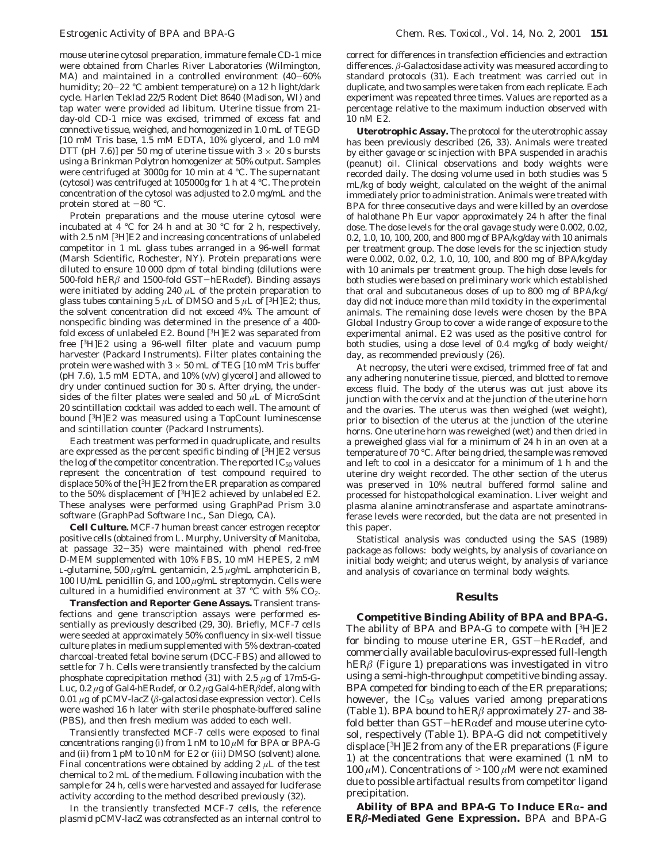mouse uterine cytosol preparation, immature female CD-1 mice were obtained from Charles River Laboratories (Wilmington, MA) and maintained in a controlled environment (40-60% humidity; 20-22 °C ambient temperature) on a 12 h light/dark cycle. Harlen Teklad 22/5 Rodent Diet 8640 (Madison, WI) and tap water were provided ad libitum. Uterine tissue from 21 day-old CD-1 mice was excised, trimmed of excess fat and connective tissue, weighed, and homogenized in 1.0 mL of TEGD [10 mM Tris base, 1.5 mM EDTA, 10% glycerol, and 1.0 mM DTT (pH 7.6)] per 50 mg of uterine tissue with  $3 \times 20$  s bursts using a Brinkman Polytron homogenizer at 50% output. Samples were centrifuged at 3000*g* for 10 min at 4 °C. The supernatant (cytosol) was centrifuged at 105000*g* for 1 h at 4 °C. The protein concentration of the cytosol was adjusted to 2.0 mg/mL and the protein stored at  $-80$  °C.

Protein preparations and the mouse uterine cytosol were incubated at 4 °C for 24 h and at 30 °C for 2 h, respectively, with 2.5 nM [3H]E2 and increasing concentrations of unlabeled competitor in 1 mL glass tubes arranged in a 96-well format (Marsh Scientific, Rochester, NY). Protein preparations were diluted to ensure 10 000 dpm of total binding (dilutions were 500-fold hERβ and 1500-fold GST-hERαdef). Binding assays were initiated by adding 240 *µ*L of the protein preparation to glass tubes containing 5  $\mu$ L of DMSO and 5  $\mu$ L of [<sup>3</sup>H]E2; thus, the solvent concentration did not exceed 4%. The amount of nonspecific binding was determined in the presence of a 400 fold excess of unlabeled E2. Bound [3H]E2 was separated from free [3H]E2 using a 96-well filter plate and vacuum pump harvester (Packard Instruments). Filter plates containing the protein were washed with  $3 \times 50$  mL of TEG [10 mM Tris buffer  $(pH 7.6)$ , 1.5 mM EDTA, and 10%  $(v/v)$  glycerol] and allowed to dry under continued suction for 30 s. After drying, the undersides of the filter plates were sealed and 50 *µ*L of MicroScint 20 scintillation cocktail was added to each well. The amount of bound [3H]E2 was measured using a TopCount luminescense and scintillation counter (Packard Instruments).

Each treatment was performed in quadruplicate, and results are expressed as the percent specific binding of [3H]E2 versus the log of the competitor concentration. The reported  $IC_{50}$  values represent the concentration of test compound required to displace 50% of the [3H]E2 from the ER preparation as compared to the 50% displacement of [3H]E2 achieved by unlabeled E2. These analyses were performed using GraphPad Prism 3.0 software (GraphPad Software Inc., San Diego, CA).

**Cell Culture.** MCF-7 human breast cancer estrogen receptor positive cells (obtained from L. Murphy, University of Manitoba, at passage 32-35) were maintained with phenol red-free D-MEM supplemented with 10% FBS, 10 mM HEPES, 2 mM L-glutamine, 500 *µ*g/mL gentamicin, 2.5 *µ*g/mL amphotericin B, 100 IU/mL penicillin G, and 100 *µ*g/mL streptomycin. Cells were cultured in a humidified environment at 37 °C with 5%  $CO<sub>2</sub>$ .

**Transfection and Reporter Gene Assays.** Transient transfections and gene transcription assays were performed essentially as previously described (*29*, *30*). Briefly, MCF-7 cells were seeded at approximately 50% confluency in six-well tissue culture plates in medium supplemented with 5% dextran-coated charcoal-treated fetal bovine serum (DCC-FBS) and allowed to settle for 7 h. Cells were transiently transfected by the calcium phosphate coprecipitation method (*31*) with 2.5 *µ*g of 17m5-G-Luc, 0.2 μg of Gal4-hERαdef, or 0.2 μg Gal4-hERβdef, along with 0.01 *µ*g of pCMV-lacZ (*â*-galactosidase expression vector). Cells were washed 16 h later with sterile phosphate-buffered saline (PBS), and then fresh medium was added to each well.

Transiently transfected MCF-7 cells were exposed to final concentrations ranging (i) from 1 nM to 10 *µ*M for BPA or BPA-G and (ii) from 1 pM to 10 nM for E2 or (iii) DMSO (solvent) alone. Final concentrations were obtained by adding 2 *µ*L of the test chemical to 2 mL of the medium. Following incubation with the sample for 24 h, cells were harvested and assayed for luciferase activity according to the method described previously (*32*).

In the transiently transfected MCF-7 cells, the reference plasmid pCMV-lacZ was cotransfected as an internal control to

correct for differences in transfection efficiencies and extraction differences. *â*-Galactosidase activity was measured according to standard protocols (*31*). Each treatment was carried out in duplicate, and two samples were taken from each replicate. Each experiment was repeated three times. Values are reported as a percentage relative to the maximum induction observed with 10 nM E2.

**Uterotrophic Assay.** The protocol for the uterotrophic assay has been previously described (*26*, *33*). Animals were treated by either gavage or sc injection with BPA suspended in arachis (peanut) oil. Clinical observations and body weights were recorded daily. The dosing volume used in both studies was 5 mL/kg of body weight, calculated on the weight of the animal immediately prior to administration. Animals were treated with BPA for three consecutive days and were killed by an overdose of halothane Ph Eur vapor approximately 24 h after the final dose. The dose levels for the oral gavage study were 0.002, 0.02, 0.2, 1.0, 10, 100, 200, and 800 mg of BPA/kg/day with 10 animals per treatment group. The dose levels for the sc injection study were 0.002, 0.02, 0.2, 1.0, 10, 100, and 800 mg of BPA/kg/day with 10 animals per treatment group. The high dose levels for both studies were based on preliminary work which established that oral and subcutaneous doses of up to 800 mg of BPA/kg/ day did not induce more than mild toxicity in the experimental animals. The remaining dose levels were chosen by the BPA Global Industry Group to cover a wide range of exposure to the experimental animal. E2 was used as the positive control for both studies, using a dose level of 0.4 mg/kg of body weight/ day, as recommended previously (*26*).

At necropsy, the uteri were excised, trimmed free of fat and any adhering nonuterine tissue, pierced, and blotted to remove excess fluid. The body of the uterus was cut just above its junction with the cervix and at the junction of the uterine horn and the ovaries. The uterus was then weighed (wet weight), prior to bisection of the uterus at the junction of the uterine horns. One uterine horn was reweighed (wet) and then dried in a preweighed glass vial for a minimum of 24 h in an oven at a temperature of 70 °C. After being dried, the sample was removed and left to cool in a desiccator for a minimum of 1 h and the uterine dry weight recorded. The other section of the uterus was preserved in 10% neutral buffered formol saline and processed for histopathological examination. Liver weight and plasma alanine aminotransferase and aspartate aminotransferase levels were recorded, but the data are not presented in this paper.

Statistical analysis was conducted using the SAS (1989) package as follows: body weights, by analysis of covariance on initial body weight; and uterus weight, by analysis of variance and analysis of covariance on terminal body weights.

### **Results**

**Competitive Binding Ability of BPA and BPA-G.** The ability of BPA and BPA-G to compete with [3H]E2 for binding to mouse uterine ER,  $GST-hER\alpha$ def, and commercially available baculovirus-expressed full-length hER*â* (Figure 1) preparations was investigated in vitro using a semi-high-throughput competitive binding assay. BPA competed for binding to each of the ER preparations; however, the  $IC_{50}$  values varied among preparations (Table 1). BPA bound to hER*â* approximately 27- and 38 fold better than  $GST-hER\alpha$ def and mouse uterine cytosol, respectively (Table 1). BPA-G did not competitively displace [3H]E2 from any of the ER preparations (Figure 1) at the concentrations that were examined (1 nM to <sup>100</sup> *<sup>µ</sup>*M). Concentrations of ><sup>100</sup> *<sup>µ</sup>*M were not examined due to possible artifactual results from competitor ligand precipitation.

Ability of BPA and BPA-G To Induce ER<sub>a</sub>- and **ER***â***-Mediated Gene Expression.** BPA and BPA-G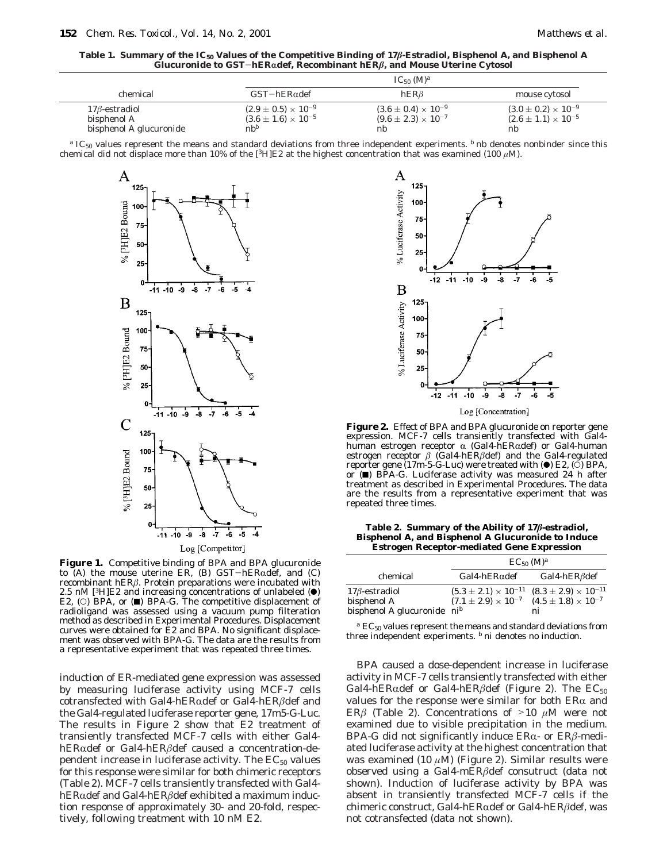**Table 1. Summary of the IC50 Values of the Competitive Binding of 17***â***-Estradiol, Bisphenol A, and Bisphenol A Glucuronide to GST**-**hER**r**def, Recombinant hER***â***, and Mouse Uterine Cytosol**

|                         |                                | $IC_{50}$ (M) <sup>a</sup>     |                                |
|-------------------------|--------------------------------|--------------------------------|--------------------------------|
| chemical                | $GST-hER\alpha$ def            | hERB                           | mouse cytosol                  |
| $17\beta$ -estradiol    | $(2.9 \pm 0.5) \times 10^{-9}$ | $(3.6 \pm 0.4) \times 10^{-9}$ | $(3.0 \pm 0.2) \times 10^{-9}$ |
| bisphenol A             | $(3.6 \pm 1.6) \times 10^{-5}$ | $(9.6 \pm 2.3) \times 10^{-7}$ | $(2.6 \pm 1.1) \times 10^{-5}$ |
| bisphenol A glucuronide | $nb^b$                         | nb                             | nb                             |

*<sup>a</sup>* IC50 values represent the means and standard deviations from three independent experiments. *<sup>b</sup>* nb denotes nonbinder since this chemical did not displace more than 10% of the [<sup>3</sup>H]E2 at the highest concentration that was examined (100  $\mu$ M).



**Figure 1.** Competitive binding of BPA and BPA glucuronide to  $(A)$  the mouse uterine ER,  $(B)$  GST-hERadef, and  $(C)$ recombinant hER*â*. Protein preparations were incubated with 2.5 nM [ $3H$ ]E2 and increasing concentrations of unlabeled  $\left(\bullet\right)$ E2,  $\circ$ ) BPA, or ( $\blacksquare$ ) BPA-G. The competitive displacement of radioligand was assessed using a vacuum pump filteration method as described in Experimental Procedures. Displacement curves were obtained for E2 and BPA. No significant displacement was observed with BPA-G. The data are the results from a representative experiment that was repeated three times.

induction of ER-mediated gene expression was assessed by measuring luciferase activity using MCF-7 cells cotransfected with Gal4-hERRdef or Gal4-hER*â*def and the Gal4-regulated luciferase reporter gene, 17m5-G-Luc. The results in Figure 2 show that E2 treatment of transiently transfected MCF-7 cells with either Gal4 hERαdef or Gal4-hERβdef caused a concentration-dependent increase in luciferase activity. The  $EC_{50}$  values for this response were similar for both chimeric receptors (Table 2). MCF-7 cells transiently transfected with Gal4 hERαdef and Gal4-hERβdef exhibited a maximum induction response of approximately 30- and 20-fold, respectively, following treatment with 10 nM E2.



**Figure 2.** Effect of BPA and BPA glucuronide on reporter gene expression. MCF-7 cells transiently transfected with Gal4 human estrogen receptor  $\alpha$  (Gal4-hERadef) or Gal4-human estrogen receptor *â* (Gal4-hER*â*def) and the Gal4-regulated reporter gene (17m-5-G-Luc) were treated with ( $\bullet$ ) E2, ( $\circ$ ) BPA, or (9) BPA-G. Luciferase activity was measured 24 h after treatment as described in Experimental Procedures. The data are the results from a representative experiment that was repeated three times.

**Table 2. Summary of the Ability of 17***â***-estradiol, Bisphenol A, and Bisphenol A Glucuronide to Induce Estrogen Receptor-mediated Gene Expression**

|                               | $EC_{50}$ (M) <sup>a</sup>                                      |                                |  |  |  |  |  |  |
|-------------------------------|-----------------------------------------------------------------|--------------------------------|--|--|--|--|--|--|
| chemical                      | $Gal4-hER\alpha$ def                                            | Gal4-hER $\beta$ def           |  |  |  |  |  |  |
| $17\beta$ -estradiol          | $(5.3 \pm 2.1) \times 10^{-11}$ $(8.3 \pm 2.9) \times 10^{-11}$ |                                |  |  |  |  |  |  |
| bisphenol A                   | $(7.1 \pm 2.9) \times 10^{-7}$                                  | $(4.5 \pm 1.8) \times 10^{-7}$ |  |  |  |  |  |  |
| bisphenol A glucuronide $nib$ |                                                                 | ni                             |  |  |  |  |  |  |

*a* EC<sub>50</sub> values represent the means and standard deviations from three independent experiments. *<sup>b</sup>* ni denotes no induction.

BPA caused a dose-dependent increase in luciferase activity in MCF-7 cells transiently transfected with either Gal4-hER $\alpha$ def or Gal4-hER $\beta$ def (Figure 2). The EC<sub>50</sub> values for the response were similar for both  $ER\alpha$  and ER $\beta$  (Table 2). Concentrations of  $>10$   $\mu$ M were not examined due to visible precipitation in the medium. BPA-G did not significantly induce ERα- or ERβ-mediated luciferase activity at the highest concentration that was examined (10 *µ*M) (Figure 2). Similar results were observed using a Gal4-mER*â*def consutruct (data not shown). Induction of luciferase activity by BPA was absent in transiently transfected MCF-7 cells if the chimeric construct, Gal4-hERRdef or Gal4-hER*â*def, was not cotransfected (data not shown).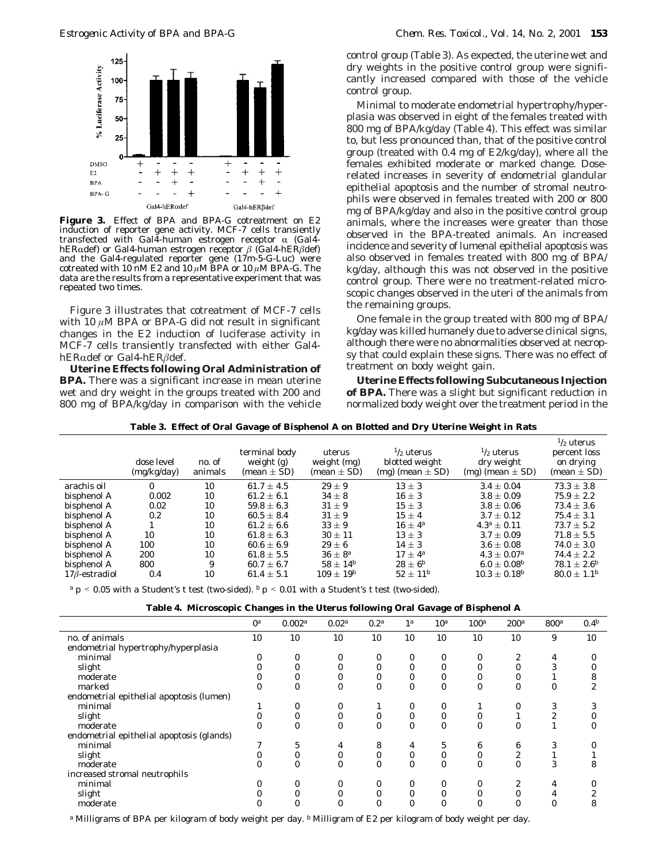

**Figure 3.** Effect of BPA and BPA-G cotreatment on E2 induction of reporter gene activity. MCF-7 cells transiently transfected with Gal4-human estrogen receptor α (Gal4-<br>hERαdef) or Gal4-human estrogen receptor β (Gal4-hERβdef) hERRdef) or Gal4-human estrogen receptor *<sup>â</sup>* (Gal4-hER*â*def) and the Gal4-regulated reporter gene (17m-5-G-Luc) were cotreated with 10 nM E2 and 10  $\mu$ M BPA or 10  $\mu$ M BPA-G. The data are the results from a representative experiment that was repeated two times.

Figure 3 illustrates that cotreatment of MCF-7 cells with 10 *µ*M BPA or BPA-G did not result in significant changes in the E2 induction of luciferase activity in MCF-7 cells transiently transfected with either Gal4 hERαdef or Gal4-hERβdef.

**Uterine Effects following Oral Administration of BPA.** There was a significant increase in mean uterine wet and dry weight in the groups treated with 200 and 800 mg of BPA/kg/day in comparison with the vehicle

control group (Table 3). As expected, the uterine wet and dry weights in the positive control group were significantly increased compared with those of the vehicle control group.

Minimal to moderate endometrial hypertrophy/hyperplasia was observed in eight of the females treated with 800 mg of BPA/kg/day (Table 4). This effect was similar to, but less pronounced than, that of the positive control group (treated with 0.4 mg of E2/kg/day), where all the females exhibited moderate or marked change. Doserelated increases in severity of endometrial glandular epithelial apoptosis and the number of stromal neutrophils were observed in females treated with 200 or 800 mg of BPA/kg/day and also in the positive control group animals, where the increases were greater than those observed in the BPA-treated animals. An increased incidence and severity of lumenal epithelial apoptosis was also observed in females treated with 800 mg of BPA/ kg/day, although this was not observed in the positive control group. There were no treatment-related microscopic changes observed in the uteri of the animals from the remaining groups.

One female in the group treated with 800 mg of BPA/ kg/day was killed humanely due to adverse clinical signs, although there were no abnormalities observed at necropsy that could explain these signs. There was no effect of treatment on body weight gain.

**Uterine Effects following Subcutaneous Injection of BPA.** There was a slight but significant reduction in normalized body weight over the treatment period in the

| Table 3.  Effect of Oral Gavage of Bisphenol A on Blotted and Dry Uterine Weight in Rats |                           |                   |                                                  |                                        |                                                                  |                                                              |                                                                      |  |  |
|------------------------------------------------------------------------------------------|---------------------------|-------------------|--------------------------------------------------|----------------------------------------|------------------------------------------------------------------|--------------------------------------------------------------|----------------------------------------------------------------------|--|--|
|                                                                                          | dose level<br>(mg/kg/day) | no. of<br>animals | terminal body<br>weight $(g)$<br>(mean $\pm$ SD) | uterus<br>weight (mg)<br>$mean \pm SD$ | $\frac{1}{2}$ uterus<br>blotted weight<br>$(mg)$ (mean $\pm$ SD) | $\frac{1}{2}$ uterus<br>dry weight<br>$(mg)$ (mean $\pm$ SD) | $\frac{1}{2}$ uterus<br>percent loss<br>on drying<br>$(mean \pm SD)$ |  |  |
| arachis oil                                                                              |                           | 10                | $61.7 \pm 4.5$                                   | $29 + 9$                               | $13 + 3$                                                         | $3.4 \pm 0.04$                                               | $73.3 \pm 3.8$                                                       |  |  |
| bisphenol A                                                                              | 0.002                     | 10                | $61.2 \pm 6.1$                                   | $34\pm8$                               | $16 \pm 3$                                                       | $3.8 \pm 0.09$                                               | $75.9 \pm 2.2$                                                       |  |  |
| bisphenol A                                                                              | 0.02                      | 10                | $59.8 \pm 6.3$                                   | $31 \pm 9$                             | $15 \pm 3$                                                       | $3.8 \pm 0.06$                                               | $73.4 \pm 3.6$                                                       |  |  |
| bisphenol A                                                                              | 0.2                       | 10                | $60.5 \pm 8.4$                                   | $31 + 9$                               | $15 + 4$                                                         | $3.7 \pm 0.12$                                               | $75.4 \pm 3.1$                                                       |  |  |
| bisphenol A                                                                              |                           | 10                | $61.2 \pm 6.6$                                   | $33 \pm 9$                             | $16 \pm 4^a$                                                     | $4.3^a \pm 0.11$                                             | $73.7 \pm 5.2$                                                       |  |  |
| bisphenol A                                                                              | 10                        | 10                | $61.8 \pm 6.3$                                   | $30 \pm 11$                            | $13 \pm 3$                                                       | $3.7 \pm 0.09$                                               | $71.8 \pm 5.5$                                                       |  |  |
| hisnhenol A                                                                              | 100                       | 10                | $606 + 69$                                       | $29 + 6$                               | $14 + 3$                                                         | $36 + 0.08$                                                  | $740 + 30$                                                           |  |  |

**Table 3. Effect of Oral Gavage of Bisphenol A on Blotted and Dry Uterine Weight in Rats**

 $17\hat{\beta}$ -estradiol 0.4 10 61.4  $\pm$  5.1  $109 \pm 19^b$  52  $\pm$   $11^b$  10.3  $\pm$  0.18<sup>*b*</sup> 80.0  $\pm$  1.1<sup>*b*</sup>  $a$  *p* < 0.05 with a Student's *t* test (two-sided). *b p* < 0.01 with a Student's *t* test (two-sided).

| Table 4. Microscopic Changes in the Uterus following Oral Gavage of Bisphenol A |  |
|---------------------------------------------------------------------------------|--|
|---------------------------------------------------------------------------------|--|

bisphenol A  $100$   $10$   $60.6 \pm 6.9$   $29 \pm 6$   $14 \pm 3$   $3.6 \pm 0.08$   $74.0 \pm 3.0$ <br>bisphenol A  $200$   $10$   $61.8 + 5.5$   $36 + 8^a$   $17 + 4^a$   $4.3 + 0.07^a$   $74.4 + 2.2$ bisphenol A 200 10 61.8 ( 5.5 36 ( <sup>8</sup>*<sup>a</sup>* <sup>17</sup> ( <sup>4</sup>*<sup>a</sup>* 4.3 ( 0.07*<sup>a</sup>* 74.4 ( 2.2 **bisphenol A** 800 9 60.7 ± 6.7  $58 \pm 14^b$   $28 \pm 6^b$   $6.0 \pm 0.08^b$   $78.1 \pm 2.6^b$ <br>176-estradiol 0.4 10 61.4 + 5.1  $109 + 19^b$   $52 + 11^b$   $10.3 + 0.18^b$   $80.0 + 1.1^b$ 

|                                           | 0 <sup>a</sup> | 0.002 <sup>a</sup> | 0.02 <sup>a</sup> | 0.2 <sup>a</sup> | 1 <sup>a</sup> | 10 <sup>a</sup> | 100 <sup>a</sup> | 200 <sup>a</sup> | $800^a$ | 0.4 <sup>b</sup> |
|-------------------------------------------|----------------|--------------------|-------------------|------------------|----------------|-----------------|------------------|------------------|---------|------------------|
| no. of animals                            | 10             | 10                 | 10                | 10               | 10             | 10              | 10               | 10               | 9       | 10               |
| endometrial hypertrophy/hyperplasia       |                |                    |                   |                  |                |                 |                  |                  |         |                  |
| minimal                                   |                |                    |                   |                  | 0              | 0               |                  | 2                | 4       |                  |
| slight                                    |                |                    |                   |                  | 0              | $\bf{0}$        |                  |                  |         |                  |
| moderate                                  |                |                    |                   |                  | 0              | 0               |                  |                  |         |                  |
| marked                                    | 0              |                    | $\Omega$          |                  | 0              | $\bf{0}$        |                  | $\mathbf{0}$     | 0       |                  |
| endometrial epithelial apoptosis (lumen)  |                |                    |                   |                  |                |                 |                  |                  |         |                  |
| minimal                                   |                |                    | 0                 |                  | 0              | 0               |                  | 0                |         |                  |
| slight                                    |                |                    | $\bf{0}$          |                  | $\bf{0}$       | $\bf{0}$        |                  |                  |         |                  |
| moderate                                  | 0              |                    | $\boldsymbol{0}$  | 0                | $\bf{0}$       | $\mathbf{0}$    | $\theta$         | $\mathbf{0}$     |         |                  |
| endometrial epithelial apoptosis (glands) |                |                    |                   |                  |                |                 |                  |                  |         |                  |
| minimal                                   |                | 5                  | 4                 | 8                | 4              | 5               | 6                | 6                |         |                  |
| slight                                    |                |                    |                   |                  | 0              | $\bf{0}$        |                  | 2                |         |                  |
| moderate                                  | 0              |                    | $\Omega$          |                  | 0              | $\bf{0}$        | 0                | $\Omega$         | 3       |                  |
| increased stromal neutrophils             |                |                    |                   |                  |                |                 |                  |                  |         |                  |
| minimal                                   |                |                    | 0                 |                  | 0              | $\bf{0}$        |                  |                  |         |                  |
| slight                                    |                |                    |                   |                  | 0              | $\bf{0}$        |                  | $\Omega$         |         |                  |
| moderate                                  |                |                    |                   |                  | 0              | $\bf{0}$        |                  |                  |         |                  |

*<sup>a</sup>* Milligrams of BPA per kilogram of body weight per day. *<sup>b</sup>* Milligram of E2 per kilogram of body weight per day.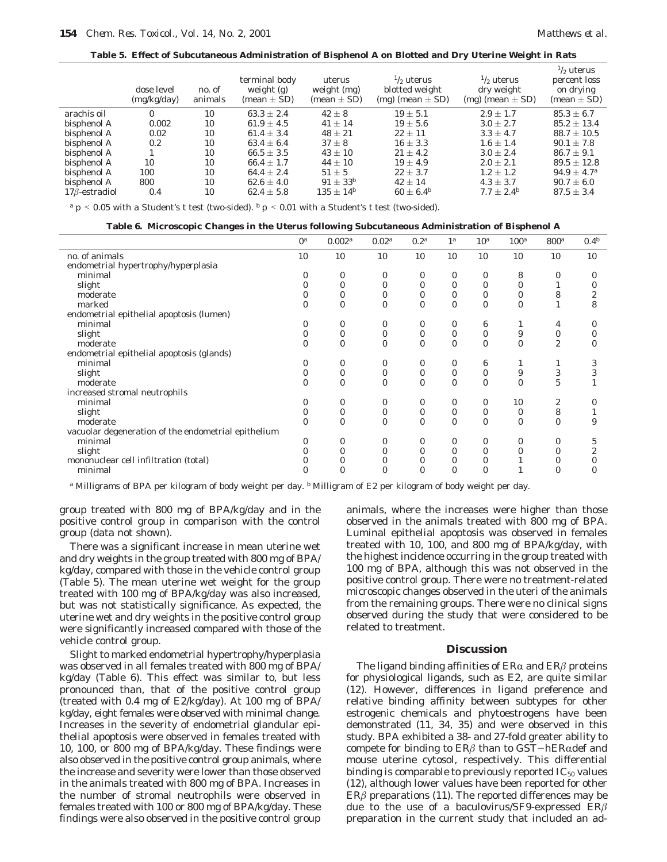**Table 5. Effect of Subcutaneous Administration of Bisphenol A on Blotted and Dry Uterine Weight in Rats**

|                      | dose level<br>(mg/kg/day) | no. of<br>animals | terminal body<br>weight (g)<br>$mean \pm SD$ | uterus<br>weight (mg)<br>$mean \pm SD$ | $\frac{1}{2}$ uterus<br>blotted weight<br>$(mg)$ (mean $\pm$ SD) | $\frac{1}{2}$ uterus<br>dry weight<br>$(mg)$ (mean $\pm$ SD) | $\frac{1}{2}$ uterus<br>percent loss<br>on drying<br>$mean \pm SD$ |
|----------------------|---------------------------|-------------------|----------------------------------------------|----------------------------------------|------------------------------------------------------------------|--------------------------------------------------------------|--------------------------------------------------------------------|
| arachis oil          | $\bf{0}$                  | 10                | $63.3 \pm 2.4$                               | $42 + 8$                               | $19 \pm 5.1$                                                     | $2.9 + 1.7$                                                  | $85.3 \pm 6.7$                                                     |
| bisphenol A          | 0.002                     | 10                | $61.9 \pm 4.5$                               | $41 \pm 14$                            | $19 \pm 5.6$                                                     | $3.0 \pm 2.7$                                                | $85.2 \pm 13.4$                                                    |
| bisphenol A          | 0.02                      | 10                | $61.4 \pm 3.4$                               | $48 \pm 21$                            | $22 \pm 11$                                                      | $3.3 \pm 4.7$                                                | $88.7 \pm 10.5$                                                    |
| bisphenol A          | 0.2                       | 10                | $63.4 \pm 6.4$                               | $37 + 8$                               | $16 \pm 3.3$                                                     | $1.6 \pm 1.4$                                                | $90.1 \pm 7.8$                                                     |
| bisphenol A          |                           | 10                | $66.5 \pm 3.5$                               | $43 + 10$                              | $21 \pm 4.2$                                                     | $3.0 + 2.4$                                                  | $86.7 \pm 9.1$                                                     |
| bisphenol A          | 10                        | 10                | $66.4 \pm 1.7$                               | $44 \pm 10$                            | $19 \pm 4.9$                                                     | $2.0 \pm 2.1$                                                | $89.5 \pm 12.8$                                                    |
| bisphenol A          | 100                       | 10                | $64.4 \pm 2.4$                               | $51 + 5$                               | $22 \pm 3.7$                                                     | $1.2 + 1.2$                                                  | $94.9 \pm 4.7^a$                                                   |
| bisphenol A          | 800                       | 10                | $62.6 \pm 4.0$                               | $91 \pm 33^{b}$                        | $42 + 14$                                                        | $4.3 \pm 3.7$                                                | $90.7 \pm 6.0$                                                     |
| $17\beta$ -estradiol | 0.4                       | 10                | $62.4 \pm 5.8$                               | $135 \pm 14^{b}$                       | $60 \pm 6.4^b$                                                   | $7.7 \pm 2.4^b$                                              | $87.5 \pm 3.4$                                                     |
|                      |                           |                   |                                              |                                        |                                                                  |                                                              |                                                                    |

 $a$  *p* < 0.05 with a Student's *t* test (two-sided). *b p* < 0.01 with a Student's *t* test (two-sided).

**Table 6. Microscopic Changes in the Uterus following Subcutaneous Administration of Bisphenol A**

|                                                     | 0 <sup>a</sup> | 0.002a       | 0.02 <sup>a</sup> | 0.2 <sup>a</sup> | 1 <sup>a</sup> | 10 <sup>a</sup> | 100 <sup>a</sup> | 800a           | 0.4 <sup>b</sup> |
|-----------------------------------------------------|----------------|--------------|-------------------|------------------|----------------|-----------------|------------------|----------------|------------------|
| no. of animals                                      | 10             | 10           | 10                | 10               | 10             | 10              | 10               | 10             | 10               |
| endometrial hypertrophy/hyperplasia                 |                |              |                   |                  |                |                 |                  |                |                  |
| minimal                                             |                | 0            | $\bf{0}$          | $\bf{0}$         | $\bf{0}$       | 0               | 8                | 0              |                  |
|                                                     |                | $\bf{0}$     | $\mathbf{0}$      | $\mathbf{0}$     | $\bf{0}$       | $\bf{0}$        | $\mathbf{0}$     |                |                  |
| slight                                              |                |              |                   |                  |                |                 |                  |                |                  |
| moderate                                            |                | 0            | $\bf{0}$          | 0                | $\bf{0}$       | 0               | 0                | 8              |                  |
| marked                                              |                | $\mathbf{0}$ | $\mathbf{0}$      | $\mathbf{0}$     | $\mathbf{0}$   | $\mathbf{0}$    | $\mathbf{0}$     |                | 8                |
| endometrial epithelial apoptosis (lumen)            |                |              |                   |                  |                |                 |                  |                |                  |
| minimal                                             |                | $\bf{0}$     | $\bf{0}$          | $\bf{0}$         | $\bf{0}$       | 6               |                  | 4              |                  |
| slight                                              |                | $\bf{0}$     | $\bf{0}$          | $\bf{0}$         | 0              | 0               | 9                | $\bf{0}$       |                  |
| moderate                                            |                | $\mathbf{0}$ | $\mathbf{0}$      | $\mathbf{0}$     | $\mathbf{0}$   | $\mathbf{0}$    | 0                | $\overline{2}$ |                  |
| endometrial epithelial apoptosis (glands)           |                |              |                   |                  |                |                 |                  |                |                  |
| minimal                                             |                | $\bf{0}$     | $\mathbf{0}$      | $\mathbf{0}$     | $\bf{0}$       | 6               |                  | 1              |                  |
| slight                                              |                | $\bf{0}$     | $\bf{0}$          | $\mathbf{0}$     | $\bf{0}$       | $\bf{0}$        | 9                | 3              |                  |
| moderate                                            |                | $\mathbf{0}$ | $\mathbf{0}$      | $\Omega$         | $\Omega$       | $\bf{0}$        | $\mathbf{0}$     | 5              |                  |
| increased stromal neutrophils                       |                |              |                   |                  |                |                 |                  |                |                  |
| minimal                                             |                | $\bf{0}$     | $\bf{0}$          | $\mathbf{0}$     | $\bf{0}$       | $\bf{0}$        | 10               | 2              |                  |
| slight                                              |                | $\bf{0}$     | $\bf{0}$          | $\mathbf{0}$     | $\bf{0}$       | $\bf{0}$        | $\mathbf{0}$     | 8              |                  |
| moderate                                            |                | $\mathbf{0}$ | $\mathbf{0}$      | $\mathbf{0}$     | $\Omega$       | $\bf{0}$        | $\Omega$         | $\mathbf{0}$   | 9                |
| vacuolar degeneration of the endometrial epithelium |                |              |                   |                  |                |                 |                  |                |                  |
| minimal                                             |                | $\bf{0}$     | $\bf{0}$          | $\mathbf{0}$     | $\bf{0}$       | $\bf{0}$        | $\bf{0}$         | 0              | 5                |
| slight                                              |                | $\bf{0}$     | $\mathbf{0}$      | $\mathbf{0}$     | $\bf{0}$       | $\bf{0}$        | 0                | 0              |                  |
| mononuclear cell infiltration (total)               |                | 0            |                   |                  |                | 0               |                  |                |                  |
| minimal                                             |                | $\bf{0}$     | 0                 | $\mathbf{0}$     |                | 0               |                  | 0              |                  |

*<sup>a</sup>* Milligrams of BPA per kilogram of body weight per day. *<sup>b</sup>* Milligram of E2 per kilogram of body weight per day.

group treated with 800 mg of BPA/kg/day and in the positive control group in comparison with the control group (data not shown).

There was a significant increase in mean uterine wet and dry weights in the group treated with 800 mg of BPA/ kg/day, compared with those in the vehicle control group (Table 5). The mean uterine wet weight for the group treated with 100 mg of BPA/kg/day was also increased, but was not statistically significance. As expected, the uterine wet and dry weights in the positive control group were significantly increased compared with those of the vehicle control group.

Slight to marked endometrial hypertrophy/hyperplasia was observed in all females treated with 800 mg of BPA/ kg/day (Table 6). This effect was similar to, but less pronounced than, that of the positive control group (treated with 0.4 mg of E2/kg/day). At 100 mg of BPA/ kg/day, eight females were observed with minimal change. Increases in the severity of endometrial glandular epithelial apoptosis were observed in females treated with 10, 100, or 800 mg of BPA/kg/day. These findings were also observed in the positive control group animals, where the increase and severity were lower than those observed in the animals treated with 800 mg of BPA. Increases in the number of stromal neutrophils were observed in females treated with 100 or 800 mg of BPA/kg/day. These findings were also observed in the positive control group animals, where the increases were higher than those observed in the animals treated with 800 mg of BPA. Luminal epithelial apoptosis was observed in females treated with 10, 100, and 800 mg of BPA/kg/day, with the highest incidence occurring in the group treated with 100 mg of BPA, although this was not observed in the positive control group. There were no treatment-related microscopic changes observed in the uteri of the animals from the remaining groups. There were no clinical signs observed during the study that were considered to be related to treatment.

# **Discussion**

The ligand binding affinities of  $ER\alpha$  and  $ER\beta$  proteins for physiological ligands, such as E2, are quite similar (*12*). However, differences in ligand preference and relative binding affinity between subtypes for other estrogenic chemicals and phytoestrogens have been demonstrated (*11*, *34*, *35*) and were observed in this study. BPA exhibited a 38- and 27-fold greater ability to compete for binding to  $ER\beta$  than to  $GST-hER\alpha$ def and mouse uterine cytosol, respectively. This differential binding is comparable to previously reported  $IC_{50}$  values (*12*), although lower values have been reported for other  $ER\beta$  preparations (11). The reported differences may be due to the use of a baculovirus/SF9-expressed ER*â* preparation in the current study that included an ad-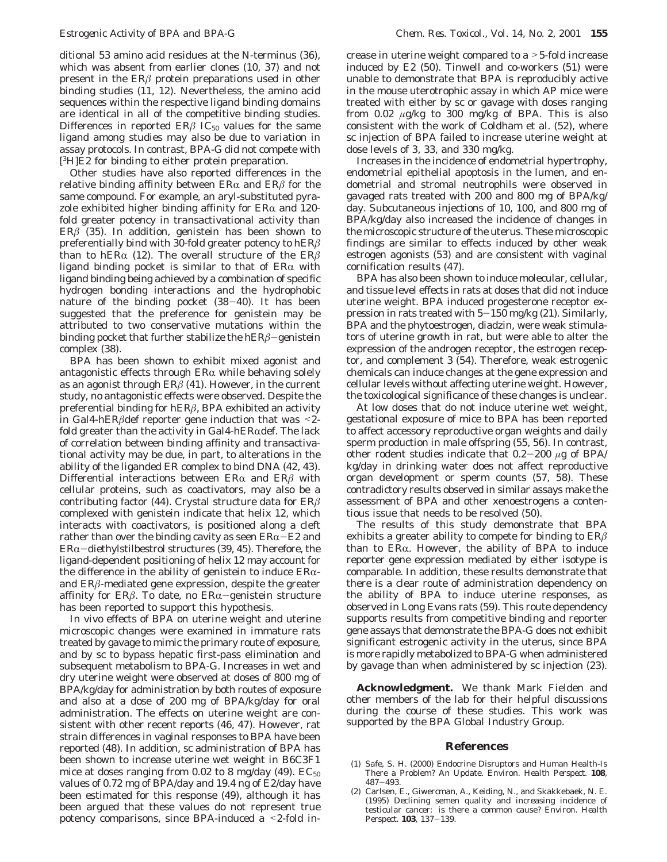Other studies have also reported differences in the relative binding affinity between  $ER\alpha$  and  $ER\beta$  for the same compound. For example, an aryl-substituted pyrazole exhibited higher binding affinity for  $ER\alpha$  and 120fold greater potency in transactivational activity than ER*â* (*35*). In addition, genistein has been shown to preferentially bind with 30-fold greater potency to hER*â* than to hER $\alpha$  (12). The overall structure of the ER $\beta$ ligand binding pocket is similar to that of  $ER\alpha$  with ligand binding being achieved by a combination of specific hydrogen bonding interactions and the hydrophobic nature of the binding pocket (*38*-*40*). It has been suggested that the preference for genistein may be attributed to two conservative mutations within the binding pocket that further stabilize the hER*â*-genistein complex (*38*).

BPA has been shown to exhibit mixed agonist and antagonistic effects through  $ER\alpha$  while behaving solely as an agonist through ER*â* (*41*). However, in the current study, no antagonistic effects were observed. Despite the preferential binding for hER*â*, BPA exhibited an activity in Gal4-hER*â*def reporter gene induction that was <2 fold greater than the activity in Gal4-h $ER\alpha$ def. The lack of correlation between binding affinity and transactivational activity may be due, in part, to alterations in the ability of the liganded ER complex to bind DNA (*42*, *43*). Differential interactions between  $ER\alpha$  and  $ER\beta$  with cellular proteins, such as coactivators, may also be a contributing factor (*44*). Crystal structure data for ER*â* complexed with genistein indicate that helix 12, which interacts with coactivators, is positioned along a cleft rather than over the binding cavity as seen  $ER\alpha$ -E2 and  $ER\alpha$ -diethylstilbestrol structures (39, 45). Therefore, the ligand-dependent positioning of helix 12 may account for the difference in the ability of genistein to induce  $ER\alpha$ and ER*â*-mediated gene expression, despite the greater affinity for  $ER\beta$ . To date, no  $ER\alpha$ -genistein structure has been reported to support this hypothesis.

In vivo effects of BPA on uterine weight and uterine microscopic changes were examined in immature rats treated by gavage to mimic the primary route of exposure, and by sc to bypass hepatic first-pass elimination and subsequent metabolism to BPA-G. Increases in wet and dry uterine weight were observed at doses of 800 mg of BPA/kg/day for administration by both routes of exposure and also at a dose of 200 mg of BPA/kg/day for oral administration. The effects on uterine weight are consistent with other recent reports (*46*, *47*). However, rat strain differences in vaginal responses to BPA have been reported (*48*). In addition, sc administration of BPA has been shown to increase uterine wet weight in B6C3F1 mice at doses ranging from  $0.02$  to 8 mg/day  $(49)$ .  $EC_{50}$ values of 0.72 mg of BPA/day and 19.4 ng of E2/day have been estimated for this response (*49*), although it has been argued that these values do not represent true potency comparisons, since BPA-induced a <2-fold in-

crease in uterine weight compared to a >5-fold increase induced by E2 (*50*). Tinwell and co-workers (*51*) were unable to demonstrate that BPA is reproducibly active in the mouse uterotrophic assay in which AP mice were treated with either by sc or gavage with doses ranging from 0.02 *µ*g/kg to 300 mg/kg of BPA. This is also consistent with the work of Coldham et al. (*52*), where sc injection of BPA failed to increase uterine weight at dose levels of 3, 33, and 330 mg/kg.

Increases in the incidence of endometrial hypertrophy, endometrial epithelial apoptosis in the lumen, and endometrial and stromal neutrophils were observed in gavaged rats treated with 200 and 800 mg of BPA/kg/ day. Subcutaneous injections of 10, 100, and 800 mg of BPA/kg/day also increased the incidence of changes in the microscopic structure of the uterus. These microscopic findings are similar to effects induced by other weak estrogen agonists (*53*) and are consistent with vaginal cornification results (*47*).

BPA has also been shown to induce molecular, cellular, and tissue level effects in rats at doses that did not induce uterine weight. BPA induced progesterone receptor expression in rats treated with 5-150 mg/kg (*21*). Similarly, BPA and the phytoestrogen, diadzin, were weak stimulators of uterine growth in rat, but were able to alter the expression of the androgen receptor, the estrogen receptor, and complement 3 (*54*). Therefore, weak estrogenic chemicals can induce changes at the gene expression and cellular levels without affecting uterine weight. However, the toxicological significance of these changes is unclear.

At low doses that do not induce uterine wet weight, gestational exposure of mice to BPA has been reported to affect accessory reproductive organ weights and daily sperm production in male offspring (*55*, *56*). In contrast, other rodent studies indicate that 0.2-<sup>200</sup> *<sup>µ</sup>*g of BPA/ kg/day in drinking water does not affect reproductive organ development or sperm counts (*57*, *58*). These contradictory results observed in similar assays make the assessment of BPA and other xenoestrogens a contentious issue that needs to be resolved (*50*).

The results of this study demonstrate that BPA exhibits a greater ability to compete for binding to ER*â* than to  $ER\alpha$ . However, the ability of BPA to induce reporter gene expression mediated by either isotype is comparable. In addition, these results demonstrate that there is a clear route of administration dependency on the ability of BPA to induce uterine responses, as observed in Long Evans rats (*59*). This route dependency supports results from competitive binding and reporter gene assays that demonstrate the BPA-G does not exhibit significant estrogenic activity in the uterus, since BPA is more rapidly metabolized to BPA-G when administered by gavage than when administered by sc injection (*23*).

**Acknowledgment.** We thank Mark Fielden and other members of the lab for their helpful discussions during the course of these studies. This work was supported by the BPA Global Industry Group.

# **References**

- (1) Safe, S. H. (2000) Endocrine Disruptors and Human Health-Is There a Problem? An Update. *Environ. Health Perspect.* **108**,
- <sup>487</sup>-493. (2) Carlsen, E., Giwercman, A., Keiding, N., and Skakkebaek, N. E. (1995) Declining semen quality and increasing incidence of testicular cancer: is there a common cause? *Environ. Health Perspect.* **<sup>103</sup>**, 137-139.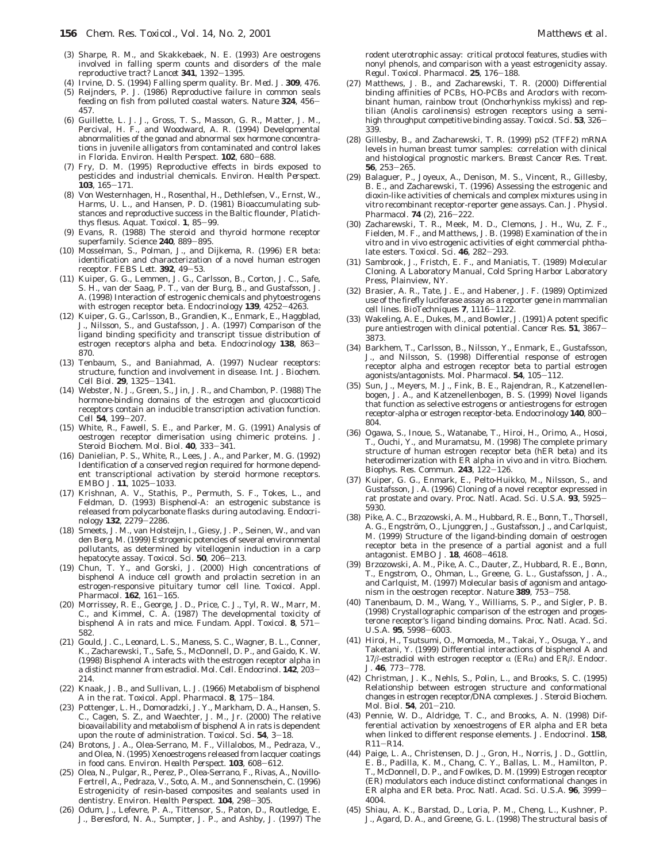- (3) Sharpe, R. M., and Skakkebaek, N. E. (1993) Are oestrogens involved in falling sperm counts and disorders of the male reproductive tract? *Lancet* **<sup>341</sup>**, 1392-1395.
- (4) Irvine, D. S. (1994) Falling sperm quality. *Br. Med. J.* **309**, 476.
- (5) Reijnders, P. J. (1986) Reproductive failure in common seals feeding on fish from polluted coastal waters. *Nature* **<sup>324</sup>**, 456- 457.
- (6) Guillette, L. J. J., Gross, T. S., Masson, G. R., Matter, J. M., Percival, H. F., and Woodward, A. R. (1994) Developmental abnormalities of the gonad and abnormal sex hormone concentrations in juvenile alligators from contaminated and control lakes in Florida. *Environ. Health Perspect.* **<sup>102</sup>**, 680-688.
- (7) Fry, D. M. (1995) Reproductive effects in birds exposed to pesticides and industrial chemicals. *Environ. Health Perspect*. **<sup>103</sup>**, 165-171.
- (8) Von Westernhagen, H., Rosenthal, H., Dethlefsen, V., Ernst, W., Harms, U. L., and Hansen, P. D. (1981) Bioaccumulating substances and reproductive success in the Baltic flounder, *Platichthys flesus*. *Aquat. Toxicol*. **<sup>1</sup>**, 85-99.
- (9) Evans, R. (1988) The steroid and thyroid hormone receptor superfamily. *Science* **<sup>240</sup>**, 889-895.
- (10) Mosselman, S., Polman, J., and Dijkema, R. (1996) ER beta: identification and characterization of a novel human estrogen receptor. *FEBS Lett*. **<sup>392</sup>**, 49-53.
- (11) Kuiper, G. G., Lemmen, J. G., Carlsson, B., Corton, J. C., Safe, S. H., van der Saag, P. T., van der Burg, B., and Gustafsson, J. A. (1998) Interaction of estrogenic chemicals and phytoestrogens with estrogen receptor beta. *Endocrinology* **<sup>139</sup>**, 4252-4263.
- (12) Kuiper, G. G., Carlsson, B., Grandien, K., Enmark, E., Haggblad, J., Nilsson, S., and Gustafsson, J. A. (1997) Comparison of the ligand binding specificity and transcript tissue distribution of estrogen receptors alpha and beta. *Endocrinology* **<sup>138</sup>**, 863- 870.
- (13) Tenbaum, S., and Baniahmad, A. (1997) Nuclear receptors: structure, function and involvement in disease. *Int. J. Biochem. Cell Biol.* **<sup>29</sup>**, 1325-1341.
- (14) Webster, N. J., Green, S., Jin, J. R., and Chambon, P. (1988) The hormone-binding domains of the estrogen and glucocorticoid receptors contain an inducible transcription activation function. *Cell* **<sup>54</sup>**, 199-207.
- (15) White, R., Fawell, S. E., and Parker, M. G. (1991) Analysis of oestrogen receptor dimerisation using chimeric proteins. *J. Steroid Biochem. Mol. Biol*. **<sup>40</sup>**, 333-341.
- (16) Danielian, P. S., White, R., Lees, J. A., and Parker, M. G. (1992) Identification of a conserved region required for hormone dependent transcriptional activation by steroid hormone receptors. *EMBO J*. **<sup>11</sup>**, 1025-1033.
- (17) Krishnan, A. V., Stathis, P., Permuth, S. F., Tokes, L., and Feldman, D. (1993) Bisphenol-A: an estrogenic substance is released from polycarbonate flasks during autoclaving. *Endocrinology* **<sup>132</sup>**, 2279-2286.
- (18) Smeets, J. M., van Holsteijn, I., Giesy, J. P., Seinen, W., and van den Berg, M. (1999) Estrogenic potencies of several environmental pollutants, as determined by vitellogenin induction in a carp hepatocyte assay. *Toxicol. Sci*. **<sup>50</sup>**, 206-213.
- (19) Chun, T. Y., and Gorski, J. (2000) High concentrations of bisphenol A induce cell growth and prolactin secretion in an estrogen-responsive pituitary tumor cell line. *Toxicol. Appl. Pharmacol*. **<sup>162</sup>**, 161-165.
- (20) Morrissey, R. E., George, J. D., Price, C. J., Tyl, R. W., Marr, M. C., and Kimmel, C. A. (1987) The developmental toxicity of bisphenol A in rats and mice. *Fundam. Appl. Toxicol.* **<sup>8</sup>**, 571- 582.
- (21) Gould, J. C., Leonard, L. S., Maness, S. C., Wagner, B. L., Conner, K., Zacharewski, T., Safe, S., McDonnell, D. P., and Gaido, K. W. (1998) Bisphenol A interacts with the estrogen receptor alpha in a distinct manner from estradiol. *Mol. Cell. Endocrinol*. **<sup>142</sup>**, 203- 214.
- (22) Knaak, J. B., and Sullivan, L. J. (1966) Metabolism of bisphenol A in the rat. *Toxicol. Appl. Pharmacol.* **<sup>8</sup>**, 175-184.
- (23) Pottenger, L. H., Domoradzki, J. Y., Markham, D. A., Hansen, S. C., Cagen, S. Z., and Waechter, J. M., Jr. (2000) The relative bioavailability and metabolism of bisphenol A in rats is dependent upon the route of administration. *Toxicol. Sci.* **<sup>54</sup>**, 3-18.
- (24) Brotons, J. A., Olea-Serrano, M. F., Villalobos, M., Pedraza, V., and Olea, N. (1995) Xenoestrogens released from lacquer coatings in food cans. *Environ. Health Perspect*. **<sup>103</sup>**, 608-612.
- (25) Olea, N., Pulgar, R., Perez, P., Olea-Serrano, F., Rivas, A., Novillo-Fertrell, A., Pedraza, V., Soto, A. M., and Sonnenschein, C. (1996) Estrogenicity of resin-based composites and sealants used in dentistry. *Environ. Health Perspect.* **<sup>104</sup>**, 298-305.
- (26) Odum, J., Lefevre, P. A., Tittensor, S., Paton, D., Routledge, E. J., Beresford, N. A., Sumpter, J. P., and Ashby, J. (1997) The

rodent uterotrophic assay: critical protocol features, studies with nonyl phenols, and comparison with a yeast estrogenicity assay. *Regul. Toxicol. Pharmacol.* **<sup>25</sup>**, 176-188.

- (27) Matthews, J. B., and Zacharewski, T. R. (2000) Differential binding affinities of PCBs, HO-PCBs and Aroclors with recombinant human, rainbow trout (*Onchorhynkiss mykiss*) and reptilian (*Anolis carolinensis*) estrogen receptors using a semihigh throughput competitive binding assay. *Toxicol. Sci.* **<sup>53</sup>**, 326- 339.
- (28) Gillesby, B., and Zacharewski, T. R. (1999) pS2 (TFF2) mRNA levels in human breast tumor samples: correlation with clinical and histological prognostic markers. *Breast Cancer Res. Treat.* **<sup>56</sup>**, 253-265.
- (29) Balaguer, P., Joyeux, A., Denison, M. S., Vincent, R., Gillesby, B. E., and Zacharewski, T. (1996) Assessing the estrogenic and dioxin-like activities of chemicals and complex mixtures using in vitro recombinant receptor-reporter gene assays. *Can. J. Physiol. Pharmacol*. **<sup>74</sup>** (2), 216-222.
- (30) Zacharewski, T. R., Meek, M. D., Clemons, J. H., Wu, Z. F., Fielden, M. F., and Matthews, J. B. (1998) Examination of the *in vitro* and *in vivo* estrogenic activities of eight commercial phthalate esters. *Toxicol. Sci.* **<sup>46</sup>**, 282-293.
- (31) Sambrook, J., Fristch, E. F., and Maniatis, T. (1989) *Molecular Cloning. A Laboratory Manual*, Cold Spring Harbor Laboratory Press, Plainview, NY.
- (32) Brasier, A. R., Tate, J. E., and Habener, J. F. (1989) Optimized use of the firefly luciferase assay as a reporter gene in mammalian cell lines. *BioTechniques* **<sup>7</sup>**, 1116-1122.
- (33) Wakeling, A. E., Dukes, M., and Bowler, J. (1991) A potent specific pure antiestrogen with clinical potential. *Cancer Res*. **<sup>51</sup>**, 3867- 3873.
- (34) Barkhem, T., Carlsson, B., Nilsson, Y., Enmark, E., Gustafsson, J., and Nilsson, S. (1998) Differential response of estrogen receptor alpha and estrogen receptor beta to partial estrogen agonists/antagonists. *Mol. Pharmacol*. **<sup>54</sup>**, 105-112.
- (35) Sun, J., Meyers, M. J., Fink, B. E., Rajendran, R., Katzenellenbogen, J. A., and Katzenellenbogen, B. S. (1999) Novel ligands that function as selective estrogens or antiestrogens for estrogen receptor-alpha or estrogen receptor-beta. *Endocrinology* **<sup>140</sup>**, 800- 804.
- (36) Ogawa, S., Inoue, S., Watanabe, T., Hiroi, H., Orimo, A., Hosoi, T., Ouchi, Y., and Muramatsu, M. (1998) The complete primary structure of human estrogen receptor beta (hER beta) and its heterodimerization with ER alpha in vivo and in vitro. *Biochem. Biophys. Res. Commun*. **<sup>243</sup>**, 122-126.
- (37) Kuiper, G. G., Enmark, E., Pelto-Huikko, M., Nilsson, S., and Gustafsson, J. A. (1996) Cloning of a novel receptor expressed in rat prostate and ovary. *Proc. Natl. Acad. Sci. U.S.A.* **<sup>93</sup>**, 5925- 5930.
- (38) Pike, A. C., Brzozowski, A. M., Hubbard, R. E., Bonn, T., Thorsell, A. G., Engström, O., Ljunggren, J., Gustafsson, J., and Carlquist, M. (1999) Structure of the ligand-binding domain of oestrogen receptor beta in the presence of a partial agonist and a full antagonist. *EMBO J.* **<sup>18</sup>**, 4608-4618.
- (39) Brzozowski, A. M., Pike, A. C., Dauter, Z., Hubbard, R. E., Bonn, T., Engstrom, O., Ohman, L., Greene, G. L., Gustafsson, J. A., and Carlquist, M. (1997) Molecular basis of agonism and antagonism in the oestrogen receptor. *Nature* **<sup>389</sup>**, 753-758.
- (40) Tanenbaum, D. M., Wang, Y., Williams, S. P., and Sigler, P. B. (1998) Crystallographic comparison of the estrogen and progesterone receptor's ligand binding domains. *Proc. Natl. Acad. Sci. U.S.A.* **<sup>95</sup>**, 5998-6003.
- (41) Hiroi, H., Tsutsumi, O., Momoeda, M., Takai, Y., Osuga, Y., and Taketani, Y. (1999) Differential interactions of bisphenol A and 17 $\beta$ -estradiol with estrogen receptor  $\alpha$  (ER $\alpha$ ) and ER $\beta$ . *Endocr. J.* **<sup>46</sup>**, 773-778.
- (42) Christman, J. K., Nehls, S., Polin, L., and Brooks, S. C. (1995) Relationship between estrogen structure and conformational changes in estrogen receptor/DNA complexes. *J. Steroid Biochem. Mol. Biol.* **<sup>54</sup>**, 201-210.
- (43) Pennie, W. D., Aldridge, T. C., and Brooks, A. N. (1998) Differential activation by xenoestrogens of ER alpha and ER beta when linked to different response elements. *J. Endocrinol.* **158**, R11-R14.
- (44) Paige, L. A., Christensen, D. J., Gron, H., Norris, J. D., Gottlin, E. B., Padilla, K. M., Chang, C. Y., Ballas, L. M., Hamilton, P. T., McDonnell, D. P., and Fowlkes, D. M. (1999) Estrogen receptor (ER) modulators each induce distinct conformational changes in ER alpha and ER beta. *Proc. Natl. Acad. Sci. U.S.A.* **<sup>96</sup>**, 3999- 4004.
- (45) Shiau, A. K., Barstad, D., Loria, P. M., Cheng, L., Kushner, P. J., Agard, D. A., and Greene, G. L. (1998) The structural basis of